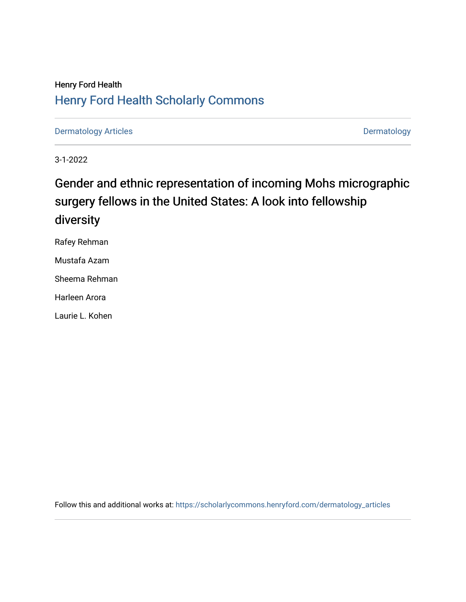# Henry Ford Health [Henry Ford Health Scholarly Commons](https://scholarlycommons.henryford.com/)

[Dermatology Articles](https://scholarlycommons.henryford.com/dermatology_articles) **Dermatology** 

3-1-2022

# Gender and ethnic representation of incoming Mohs micrographic surgery fellows in the United States: A look into fellowship diversity

Rafey Rehman

Mustafa Azam

Sheema Rehman

Harleen Arora

Laurie L. Kohen

Follow this and additional works at: [https://scholarlycommons.henryford.com/dermatology\\_articles](https://scholarlycommons.henryford.com/dermatology_articles?utm_source=scholarlycommons.henryford.com%2Fdermatology_articles%2F668&utm_medium=PDF&utm_campaign=PDFCoverPages)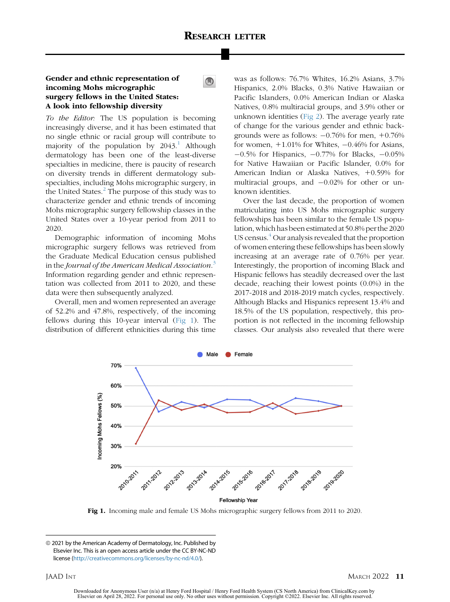$\bigcirc$ 

## Gender and ethnic representation of incoming Mohs micrographic surgery fellows in the United States: A look into fellowship diversity

To the Editor: The US population is becoming increasingly diverse, and it has been estimated that no single ethnic or racial group will contribute to majority of the population by  $2043<sup>1</sup>$  $2043<sup>1</sup>$  $2043<sup>1</sup>$  Although dermatology has been one of the least-diverse specialties in medicine, there is paucity of research on diversity trends in different dermatology subspecialties, including Mohs micrographic surgery, in the United States.<sup>[2](#page-2-1)</sup> The purpose of this study was to characterize gender and ethnic trends of incoming Mohs micrographic surgery fellowship classes in the United States over a 10-year period from 2011 to 2020.

Demographic information of incoming Mohs micrographic surgery fellows was retrieved from the Graduate Medical Education census published in the Journal of the American Medical Association.<sup>[3](#page-2-2)</sup> Information regarding gender and ethnic representation was collected from 2011 to 2020, and these data were then subsequently analyzed.

<span id="page-1-0"></span>Overall, men and women represented an average of 52.2% and 47.8%, respectively, of the incoming fellows during this 10-year interval [\(Fig 1](#page-1-0)). The distribution of different ethnicities during this time was as follows: 76.7% Whites, 16.2% Asians, 3.7% Hispanics, 2.0% Blacks, 0.3% Native Hawaiian or Pacific Islanders, 0.0% American Indian or Alaska Natives, 0.8% multiracial groups, and 3.9% other or unknown identities [\(Fig 2](#page-2-3)). The average yearly rate of change for the various gender and ethnic backgrounds were as follows:  $-0.76%$  for men,  $+0.76%$ for women,  $+1.01\%$  for Whites,  $-0.46\%$  for Asians,  $-0.5\%$  for Hispanics,  $-0.77\%$  for Blacks,  $-0.05\%$ for Native Hawaiian or Pacific Islander, 0.0% for American Indian or Alaska Natives, +0.59% for multiracial groups, and  $-0.02\%$  for other or unknown identities.

Over the last decade, the proportion of women matriculating into US Mohs micrographic surgery fellowships has been similar to the female US population, which has been estimated at 50.8% perthe 2020 US census.<sup>4</sup> Our analysis revealed that the proportion of women entering these fellowships has been slowly increasing at an average rate of 0.76% per year. Interestingly, the proportion of incoming Black and Hispanic fellows has steadily decreased over the last decade, reaching their lowest points (0.0%) in the 2017-2018 and 2018-2019 match cycles, respectively. Although Blacks and Hispanics represent 13.4% and 18.5% of the US population, respectively, this proportion is not reflected in the incoming fellowship classes. Our analysis also revealed that there were



Fig 1. Incoming male and female US Mohs micrographic surgery fellows from 2011 to 2020.

Downloaded for Anonymous User (n/a) at Henry Ford Hospital / Henry Ford Health System (CS North America) from ClinicalKey.com by Elsevier on April 28, 2022. For personal use only. No other uses without permission. Copyright ©2022. Elsevier Inc. All rights reserved.

<sup>&</sup>lt;sup>©</sup> 2021 by the American Academy of Dermatology, Inc. Published by Elsevier Inc. This is an open access article under the CC BY-NC-ND license [\(http://creativecommons.org/licenses/by-nc-nd/4.0/](http://creativecommons.org/licenses/by-nc-nd/4.0/)).